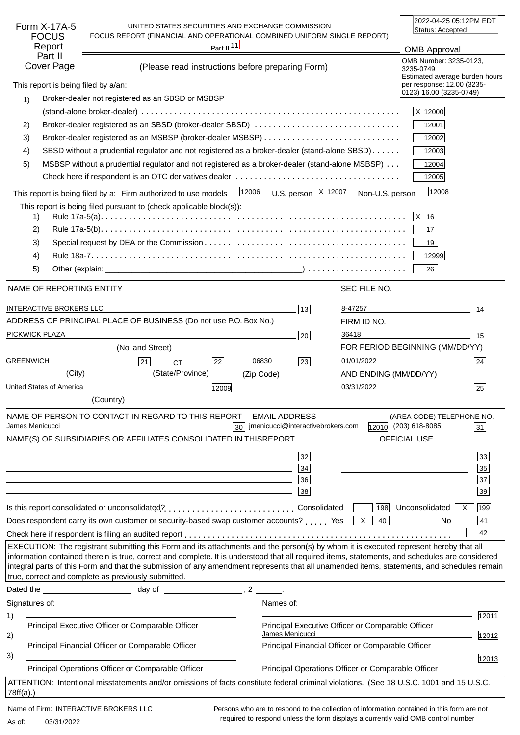| Form X-17A-5<br><b>FOCUS</b><br>Report<br>Part II<br>Cover Page                                                                                          | UNITED STATES SECURITIES AND EXCHANGE COMMISSION<br>FOCUS REPORT (FINANCIAL AND OPERATIONAL COMBINED UNIFORM SINGLE REPORT)<br>(Please read instructions before preparing Form)                                                                                                                                                                                                                                                                                                               | Part $\frac{ 11 }{ }$ |                                                                            |                        | 2022-04-25 05:12PM EDT<br>Status: Accepted<br><b>OMB Approval</b><br>OMB Number: 3235-0123,<br>3235-0749<br>Estimated average burden hours |
|----------------------------------------------------------------------------------------------------------------------------------------------------------|-----------------------------------------------------------------------------------------------------------------------------------------------------------------------------------------------------------------------------------------------------------------------------------------------------------------------------------------------------------------------------------------------------------------------------------------------------------------------------------------------|-----------------------|----------------------------------------------------------------------------|------------------------|--------------------------------------------------------------------------------------------------------------------------------------------|
| This report is being filed by a/an:                                                                                                                      |                                                                                                                                                                                                                                                                                                                                                                                                                                                                                               |                       |                                                                            |                        | per response: 12.00 (3235-<br>0123) 16.00 (3235-0749)                                                                                      |
| 1)                                                                                                                                                       | Broker-dealer not registered as an SBSD or MSBSP                                                                                                                                                                                                                                                                                                                                                                                                                                              |                       |                                                                            |                        |                                                                                                                                            |
|                                                                                                                                                          |                                                                                                                                                                                                                                                                                                                                                                                                                                                                                               |                       |                                                                            |                        | X 12000                                                                                                                                    |
| 2)                                                                                                                                                       | Broker-dealer registered as an SBSD (broker-dealer SBSD)                                                                                                                                                                                                                                                                                                                                                                                                                                      |                       |                                                                            |                        | 12001                                                                                                                                      |
| 3)                                                                                                                                                       |                                                                                                                                                                                                                                                                                                                                                                                                                                                                                               |                       |                                                                            |                        | 12002                                                                                                                                      |
| 4)                                                                                                                                                       | SBSD without a prudential regulator and not registered as a broker-dealer (stand-alone SBSD)                                                                                                                                                                                                                                                                                                                                                                                                  |                       |                                                                            |                        | 12003                                                                                                                                      |
| 5)                                                                                                                                                       | MSBSP without a prudential regulator and not registered as a broker-dealer (stand-alone MSBSP)                                                                                                                                                                                                                                                                                                                                                                                                |                       |                                                                            |                        | 12004                                                                                                                                      |
|                                                                                                                                                          |                                                                                                                                                                                                                                                                                                                                                                                                                                                                                               |                       |                                                                            |                        | 12005                                                                                                                                      |
|                                                                                                                                                          | This report is being filed by a: Firm authorized to use models $\frac{12006}{12006}$ U.S. person $\frac{X}{12007}$ Non-U.S. person                                                                                                                                                                                                                                                                                                                                                            |                       |                                                                            |                        | 12008                                                                                                                                      |
| 1)<br>2)<br>3)<br>4)                                                                                                                                     | This report is being filed pursuant to (check applicable block(s)):                                                                                                                                                                                                                                                                                                                                                                                                                           |                       |                                                                            |                        | $ X $ 16<br>17<br>19<br>12999                                                                                                              |
| 5)                                                                                                                                                       |                                                                                                                                                                                                                                                                                                                                                                                                                                                                                               |                       |                                                                            |                        | 26                                                                                                                                         |
| NAME OF REPORTING ENTITY                                                                                                                                 |                                                                                                                                                                                                                                                                                                                                                                                                                                                                                               |                       |                                                                            | SEC FILE NO.           |                                                                                                                                            |
| <b>INTERACTIVE BROKERS LLC</b>                                                                                                                           |                                                                                                                                                                                                                                                                                                                                                                                                                                                                                               |                       |                                                                            |                        |                                                                                                                                            |
|                                                                                                                                                          | ADDRESS OF PRINCIPAL PLACE OF BUSINESS (Do not use P.O. Box No.)                                                                                                                                                                                                                                                                                                                                                                                                                              |                       | 13                                                                         | 8-47257<br>FIRM ID NO. | 14                                                                                                                                         |
| PICKWICK PLAZA                                                                                                                                           |                                                                                                                                                                                                                                                                                                                                                                                                                                                                                               |                       | 20                                                                         | 36418                  | 15                                                                                                                                         |
|                                                                                                                                                          | (No. and Street)                                                                                                                                                                                                                                                                                                                                                                                                                                                                              |                       |                                                                            |                        | FOR PERIOD BEGINNING (MM/DD/YY)                                                                                                            |
| <b>GREENWICH</b>                                                                                                                                         | 21<br><b>CT</b>                                                                                                                                                                                                                                                                                                                                                                                                                                                                               | 06830<br>22           | 23                                                                         | 01/01/2022             | 24                                                                                                                                         |
| (City)                                                                                                                                                   | (State/Province)                                                                                                                                                                                                                                                                                                                                                                                                                                                                              | (Zip Code)            |                                                                            | AND ENDING (MM/DD/YY)  |                                                                                                                                            |
| United States of America                                                                                                                                 |                                                                                                                                                                                                                                                                                                                                                                                                                                                                                               | 12009                 |                                                                            | 03/31/2022             | 25                                                                                                                                         |
|                                                                                                                                                          | (Country)                                                                                                                                                                                                                                                                                                                                                                                                                                                                                     |                       |                                                                            |                        |                                                                                                                                            |
| James Menicucci                                                                                                                                          | NAME OF PERSON TO CONTACT IN REGARD TO THIS REPORT<br>NAME(S) OF SUBSIDIARIES OR AFFILIATES CONSOLIDATED IN THIS                                                                                                                                                                                                                                                                                                                                                                              | 30                    | <b>EMAIL ADDRESS</b><br>jmenicucci@interactivebrokers.com<br><b>REPORT</b> |                        | (AREA CODE) TELEPHONE NO.<br>12010 (203) 618-8085<br>31<br>OFFICIAL USE                                                                    |
|                                                                                                                                                          |                                                                                                                                                                                                                                                                                                                                                                                                                                                                                               |                       | 32                                                                         |                        | 33                                                                                                                                         |
|                                                                                                                                                          |                                                                                                                                                                                                                                                                                                                                                                                                                                                                                               |                       | 34                                                                         |                        | 35                                                                                                                                         |
|                                                                                                                                                          | and the control of the control of the control of the control of the control of the control of the control of the                                                                                                                                                                                                                                                                                                                                                                              |                       | 36                                                                         |                        | $\overline{37}$                                                                                                                            |
|                                                                                                                                                          |                                                                                                                                                                                                                                                                                                                                                                                                                                                                                               |                       | 38                                                                         |                        | 39                                                                                                                                         |
|                                                                                                                                                          |                                                                                                                                                                                                                                                                                                                                                                                                                                                                                               |                       |                                                                            |                        | 198 Unconsolidated<br>199<br>X                                                                                                             |
|                                                                                                                                                          | Does respondent carry its own customer or security-based swap customer accounts?  Yes $\boxed{\times}$                                                                                                                                                                                                                                                                                                                                                                                        |                       |                                                                            | 40                     | 41<br>No.                                                                                                                                  |
|                                                                                                                                                          |                                                                                                                                                                                                                                                                                                                                                                                                                                                                                               |                       |                                                                            |                        | 42                                                                                                                                         |
|                                                                                                                                                          | EXECUTION: The registrant submitting this Form and its attachments and the person(s) by whom it is executed represent hereby that all<br>information contained therein is true, correct and complete. It is understood that all required items, statements, and schedules are considered<br>integral parts of this Form and that the submission of any amendment represents that all unamended items, statements, and schedules remain<br>true, correct and complete as previously submitted. |                       |                                                                            |                        |                                                                                                                                            |
|                                                                                                                                                          |                                                                                                                                                                                                                                                                                                                                                                                                                                                                                               |                       |                                                                            |                        |                                                                                                                                            |
| Signatures of:                                                                                                                                           |                                                                                                                                                                                                                                                                                                                                                                                                                                                                                               |                       | Names of:                                                                  |                        |                                                                                                                                            |
| 1)                                                                                                                                                       | Principal Executive Officer or Comparable Officer                                                                                                                                                                                                                                                                                                                                                                                                                                             |                       | Principal Executive Officer or Comparable Officer                          |                        | 12011                                                                                                                                      |
| 2)                                                                                                                                                       |                                                                                                                                                                                                                                                                                                                                                                                                                                                                                               |                       | James Menicucci                                                            |                        | 12012                                                                                                                                      |
| 3)                                                                                                                                                       | Principal Financial Officer or Comparable Officer                                                                                                                                                                                                                                                                                                                                                                                                                                             |                       | Principal Financial Officer or Comparable Officer                          |                        |                                                                                                                                            |
| 12013<br>Principal Operations Officer or Comparable Officer<br>Principal Operations Officer or Comparable Officer                                        |                                                                                                                                                                                                                                                                                                                                                                                                                                                                                               |                       |                                                                            |                        |                                                                                                                                            |
| ATTENTION: Intentional misstatements and/or omissions of facts constitute federal criminal violations. (See 18 U.S.C. 1001 and 15 U.S.C.<br>$78ff(a)$ .) |                                                                                                                                                                                                                                                                                                                                                                                                                                                                                               |                       |                                                                            |                        |                                                                                                                                            |
| Name of Firm: INTERACTIVE BROKERS LLC                                                                                                                    |                                                                                                                                                                                                                                                                                                                                                                                                                                                                                               |                       |                                                                            |                        | Persons who are to respond to the collection of information contained in this form are not                                                 |

03/31/2022 As of:

required to respond unless the form displays a currently valid OMB control number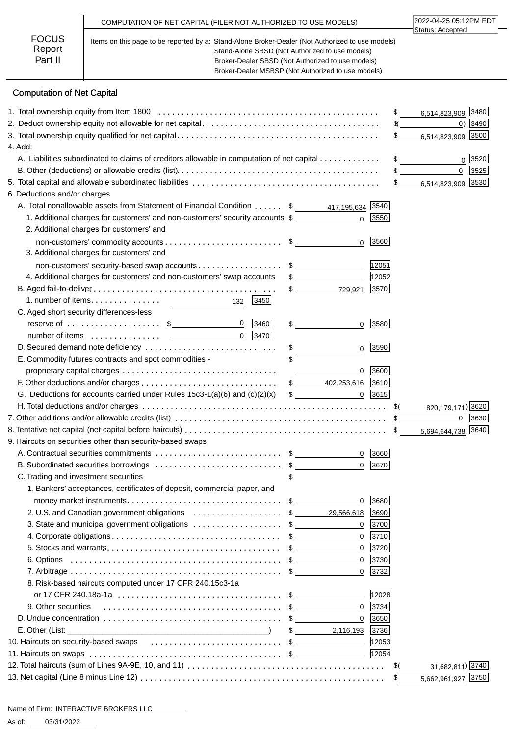|                                   | COMPUTATION OF NET CAPITAL (FILER NOT AUTHORIZED TO USE MODELS)                                                                                                                                                                                                | 2022-04-25 05:12PM EDT<br>Status: Accepted |
|-----------------------------------|----------------------------------------------------------------------------------------------------------------------------------------------------------------------------------------------------------------------------------------------------------------|--------------------------------------------|
| <b>FOCUS</b><br>Report<br>Part II | Items on this page to be reported by a: Stand-Alone Broker-Dealer (Not Authorized to use models)<br>Stand-Alone SBSD (Not Authorized to use models)<br>Broker-Dealer SBSD (Not Authorized to use models)<br>Broker-Dealer MSBSP (Not Authorized to use models) |                                            |

# Computation of Net Capital

|                                                                                                                                      |  |                                 |              | 3480<br>\$<br>6,514,823,909         |
|--------------------------------------------------------------------------------------------------------------------------------------|--|---------------------------------|--------------|-------------------------------------|
|                                                                                                                                      |  |                                 |              | $0)$ 3490<br>$\frac{1}{2}$          |
|                                                                                                                                      |  |                                 |              | \$<br>6,514,823,909 3500            |
| 4. Add:                                                                                                                              |  |                                 |              |                                     |
| A. Liabilities subordinated to claims of creditors allowable in computation of net capital                                           |  |                                 |              | \$<br>3520<br>$\Omega$              |
|                                                                                                                                      |  |                                 |              | $\mathbf{0}$<br>3525                |
|                                                                                                                                      |  |                                 |              | 6,514,823,909 3530<br>$\mathfrak s$ |
| 6. Deductions and/or charges                                                                                                         |  |                                 |              |                                     |
| A. Total nonallowable assets from Statement of Financial Condition \$ 417,195,634 3540                                               |  |                                 |              |                                     |
| 1. Additional charges for customers' and non-customers' security accounts \$                                                         |  | $\mathbf{0}$                    | 3550         |                                     |
| 2. Additional charges for customers' and                                                                                             |  |                                 |              |                                     |
|                                                                                                                                      |  | $\mathbf 0$                     | 3560         |                                     |
| 3. Additional charges for customers' and                                                                                             |  |                                 |              |                                     |
| non-customers' security-based swap accounts\$                                                                                        |  |                                 | 12051        |                                     |
| 4. Additional charges for customers' and non-customers' swap accounts                                                                |  | $\frac{1}{2}$                   | 12052        |                                     |
|                                                                                                                                      |  | $\frac{1}{\sqrt{2}}$<br>729,921 | 3570         |                                     |
| 3450                                                                                                                                 |  |                                 |              |                                     |
| C. Aged short security differences-less                                                                                              |  |                                 |              |                                     |
| reserve of $\dots\dots\dots\dots\dots\dots$ \$<br>$\overline{0}$<br> 3460                                                            |  | $\frac{1}{2}$<br>$\mathbf 0$    | 3580         |                                     |
| $\overline{0}$<br> 3470                                                                                                              |  |                                 |              |                                     |
| D. Secured demand note deficiency                                                                                                    |  | \$<br>0                         | 3590         |                                     |
| E. Commodity futures contracts and spot commodities -                                                                                |  |                                 |              |                                     |
|                                                                                                                                      |  | $\mathbf 0$                     | 3600         |                                     |
|                                                                                                                                      |  | \$ 402,253,616                  | 3610         |                                     |
| G. Deductions for accounts carried under Rules $15c3-1(a)(6)$ and $(c)(2)(x)$                                                        |  | $\frac{1}{2}$                   | $0$ 3615     |                                     |
|                                                                                                                                      |  |                                 |              | \$(<br>820,179,171) 3620            |
| 7. Other additions and/or allowable credits (list) $\dots \dots \dots \dots \dots \dots \dots \dots \dots \dots \dots \dots \dots \$ |  |                                 |              | $0 \mid 3630$                       |
|                                                                                                                                      |  |                                 |              | 5,694,644,738 3640                  |
| 9. Haircuts on securities other than security-based swaps                                                                            |  |                                 |              |                                     |
|                                                                                                                                      |  | $\mathbf{0}$                    | 3660         |                                     |
| B. Subordinated securities borrowings \$<br>C. Trading and investment securities                                                     |  | 0                               | 3670         |                                     |
| 1. Bankers' acceptances, certificates of deposit, commercial paper, and                                                              |  |                                 |              |                                     |
| money market instruments. $\ldots \ldots \ldots \ldots \ldots \ldots \ldots \ldots \ldots$ \$                                        |  | 0                               | 3680         |                                     |
| 2. U.S. and Canadian government obligations \$                                                                                       |  | 29,566,618 3690                 |              |                                     |
| 3. State and municipal government obligations \$                                                                                     |  |                                 | 0   3700     |                                     |
|                                                                                                                                      |  |                                 | $0$ 3710     |                                     |
|                                                                                                                                      |  | $\mathbf{0}$                    | 3720         |                                     |
|                                                                                                                                      |  | $\mathbf 0$                     | 3730         |                                     |
|                                                                                                                                      |  | $\Omega$                        | 3732         |                                     |
| 8. Risk-based haircuts computed under 17 CFR 240.15c3-1a                                                                             |  |                                 |              |                                     |
|                                                                                                                                      |  |                                 | 12028        |                                     |
| 9. Other securities                                                                                                                  |  |                                 | $0 \ \ 3734$ |                                     |
|                                                                                                                                      |  | $\mathbf{0}$                    | 3650         |                                     |
|                                                                                                                                      |  | 2,116,193 3736                  |              |                                     |
| 10. Haircuts on security-based swaps \$                                                                                              |  |                                 | 12053        |                                     |
|                                                                                                                                      |  |                                 | 12054        |                                     |
|                                                                                                                                      |  |                                 |              | 31,682,811) 3740<br>$$^{(})$        |
|                                                                                                                                      |  |                                 |              | 5,662,961,927 3750<br>\$            |
|                                                                                                                                      |  |                                 |              |                                     |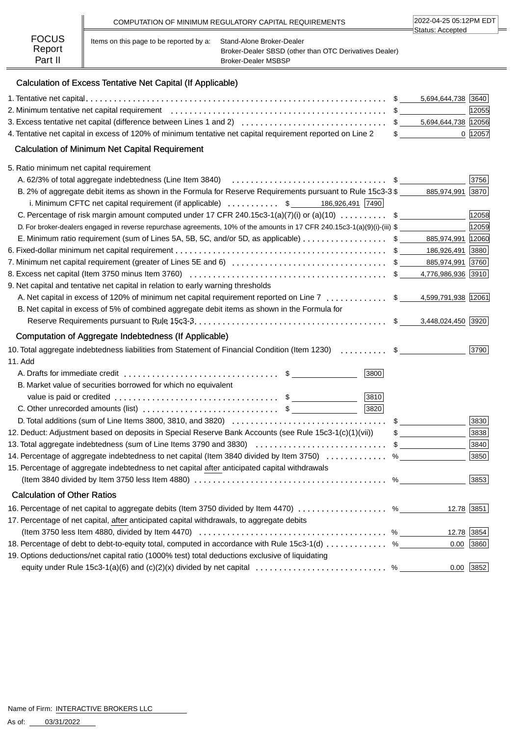|                        |                                         | COMPUTATION OF MINIMUM REGULATORY CAPITAL REQUIREMENTS                              | 2022-04-25 05:12PM EDT |
|------------------------|-----------------------------------------|-------------------------------------------------------------------------------------|------------------------|
| <b>FOCUS</b><br>Report | Items on this page to be reported by a: | Stand-Alone Broker-Dealer<br>Broker-Dealer SBSD (other than OTC Derivatives Dealer) | ∃Status: Accepted      |
| Part II                |                                         | <b>Broker-Dealer MSBSP</b>                                                          |                        |

# Calculation of Excess Tentative Net Capital (If Applicable)

|                                                                                                                           |   | 5,694,644,738 3640 |            |
|---------------------------------------------------------------------------------------------------------------------------|---|--------------------|------------|
|                                                                                                                           |   |                    | 12055      |
|                                                                                                                           |   |                    |            |
| 4. Tentative net capital in excess of 120% of minimum tentative net capital requirement reported on Line 2                |   | $\frac{1}{2}$      | 0 12057    |
| <b>Calculation of Minimum Net Capital Requirement</b>                                                                     |   |                    |            |
| 5. Ratio minimum net capital requirement                                                                                  |   |                    |            |
| A. 62/3% of total aggregate indebtedness (Line Item 3840) $\ldots$ \$                                                     |   |                    | 3756       |
| B. 2% of aggregate debit items as shown in the Formula for Reserve Requirements pursuant to Rule 15c3-3 \$                |   | 885,974,991 3870   |            |
| i. Minimum CFTC net capital requirement (if applicable) $\ldots \ldots \ldots$ \$ ______ 186,926,491 7490                 |   |                    |            |
| C. Percentage of risk margin amount computed under 17 CFR 240.15c3-1(a)(7)(i) or (a)(10) $\ldots \ldots \ldots$ \$        |   |                    | 12058      |
| D. For broker-dealers engaged in reverse repurchase agreements, 10% of the amounts in 17 CFR 240.15c3-1(a)(9)(i)-(iii) \$ |   |                    | 12059      |
| E. Minimum ratio requirement (sum of Lines 5A, 5B, 5C, and/or 5D, as applicable) \$ ______ 885,974,991  12060             |   |                    |            |
|                                                                                                                           |   | 186,926,491 3880   |            |
|                                                                                                                           |   |                    |            |
|                                                                                                                           |   |                    |            |
| 9. Net capital and tentative net capital in relation to early warning thresholds                                          |   |                    |            |
| A. Net capital in excess of 120% of minimum net capital requirement reported on Line 7  \$ 4,599,791,938 12061            |   |                    |            |
| B. Net capital in excess of 5% of combined aggregate debit items as shown in the Formula for                              |   |                    |            |
|                                                                                                                           |   |                    |            |
| Computation of Aggregate Indebtedness (If Applicable)                                                                     |   |                    |            |
| 10. Total aggregate indebtedness liabilities from Statement of Financial Condition (Item 1230)  \$                        |   |                    | 3790       |
| 11. Add                                                                                                                   |   |                    |            |
| 3800                                                                                                                      |   |                    |            |
| B. Market value of securities borrowed for which no equivalent                                                            |   |                    |            |
| 3810                                                                                                                      |   |                    |            |
| 3820<br>C. Other unrecorded amounts (list) $\ldots$ \$                                                                    |   |                    |            |
|                                                                                                                           |   |                    | 3830       |
| 12. Deduct: Adjustment based on deposits in Special Reserve Bank Accounts (see Rule 15c3-1(c)(1)(vii))                    |   |                    | 3838       |
| 13. Total aggregate indebtedness (sum of Line Items 3790 and 3830) \$                                                     |   |                    | 3840       |
| 14. Percentage of aggregate indebtedness to net capital (Item 3840 divided by Item 3750)  %                               |   |                    | 3850       |
| 15. Percentage of aggregate indebtedness to net capital after anticipated capital withdrawals                             |   |                    |            |
|                                                                                                                           | % |                    | 3853       |
| <b>Calculation of Other Ratios</b>                                                                                        |   |                    |            |
| 16. Percentage of net capital to aggregate debits (Item 3750 divided by Item 4470)  %                                     |   |                    | 12.78 3851 |
| 17. Percentage of net capital, after anticipated capital withdrawals, to aggregate debits                                 |   |                    |            |
|                                                                                                                           |   |                    | 12.78 3854 |
| 18. Percentage of debt to debt-to-equity total, computed in accordance with Rule 15c3-1(d)  %                             |   | 0.00               | 3860       |
| 19. Options deductions/net capital ratio (1000% test) total deductions exclusive of liquidating                           |   |                    |            |
|                                                                                                                           |   | 0.00               | $ 3852 $   |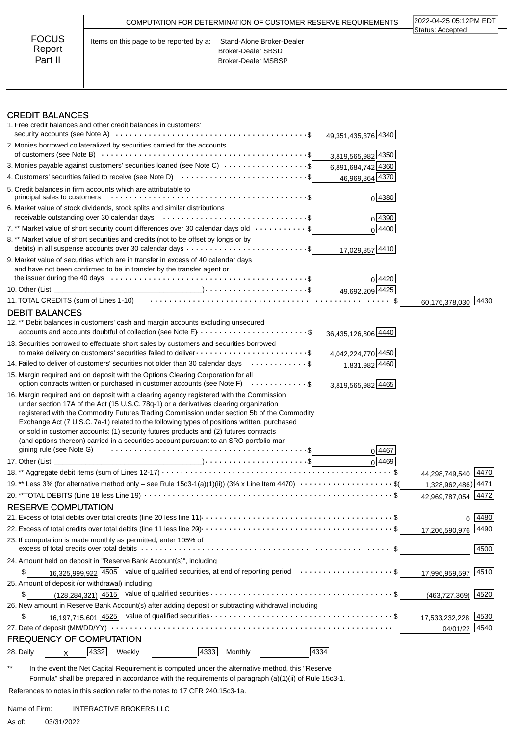| <b>FOCUS</b><br>Stand-Alone Broker-Dealer<br>Items on this page to be reported by a:<br>Report<br><b>Broker-Dealer SBSD</b><br>Part II<br><b>Broker-Dealer MSBSP</b> |  | COMPUTATION FOR DETERMINATION OF CUSTOMER RESERVE REQUIREMENTS | 2022-04-25 05:12PM EDT<br>Status: Accepted |
|----------------------------------------------------------------------------------------------------------------------------------------------------------------------|--|----------------------------------------------------------------|--------------------------------------------|
|                                                                                                                                                                      |  |                                                                |                                            |

### CREDIT BALANCES

| 1. Free credit balances and other credit balances in customers'                                                                                                                                                                                                                                                                                                                                                                                                                            |                        |
|--------------------------------------------------------------------------------------------------------------------------------------------------------------------------------------------------------------------------------------------------------------------------------------------------------------------------------------------------------------------------------------------------------------------------------------------------------------------------------------------|------------------------|
| 49,351,435,376 4340                                                                                                                                                                                                                                                                                                                                                                                                                                                                        |                        |
| 2. Monies borrowed collateralized by securities carried for the accounts<br>3,819,565,982 4350                                                                                                                                                                                                                                                                                                                                                                                             |                        |
| 3. Monies payable against customers' securities loaned (see Note C) $\cdots \cdots \cdots \cdots \cdots$ 6,891,684,742 4360                                                                                                                                                                                                                                                                                                                                                                |                        |
| 4. Customers' securities failed to receive (see Note D) $\cdots$ \$<br>46,969,864 4370                                                                                                                                                                                                                                                                                                                                                                                                     |                        |
| 5. Credit balances in firm accounts which are attributable to<br>$0$ 4380                                                                                                                                                                                                                                                                                                                                                                                                                  |                        |
| 6. Market value of stock dividends, stock splits and similar distributions                                                                                                                                                                                                                                                                                                                                                                                                                 |                        |
| 0 4390                                                                                                                                                                                                                                                                                                                                                                                                                                                                                     |                        |
| 7.** Market value of short security count differences over 30 calendar days old \$<br>0 4400                                                                                                                                                                                                                                                                                                                                                                                               |                        |
| 8. ** Market value of short securities and credits (not to be offset by longs or by<br>17,029,857 4410                                                                                                                                                                                                                                                                                                                                                                                     |                        |
| 9. Market value of securities which are in transfer in excess of 40 calendar days<br>and have not been confirmed to be in transfer by the transfer agent or                                                                                                                                                                                                                                                                                                                                |                        |
| 0 4420                                                                                                                                                                                                                                                                                                                                                                                                                                                                                     |                        |
|                                                                                                                                                                                                                                                                                                                                                                                                                                                                                            |                        |
| 11. TOTAL CREDITS (sum of Lines 1-10) (also contained a series of the series of the series of the series of th                                                                                                                                                                                                                                                                                                                                                                             | 4430<br>60,176,378,030 |
| <b>DEBIT BALANCES</b>                                                                                                                                                                                                                                                                                                                                                                                                                                                                      |                        |
| 12.** Debit balances in customers' cash and margin accounts excluding unsecured<br>accounts and accounts doubtful of collection (see Note E) $\ldots \ldots \ldots \ldots \ldots \ldots \ldots$<br>36,435,126,806 4440                                                                                                                                                                                                                                                                     |                        |
| 13. Securities borrowed to effectuate short sales by customers and securities borrowed                                                                                                                                                                                                                                                                                                                                                                                                     |                        |
| to make delivery on customers' securities failed to deliver $\cdots \cdots \cdots \cdots \cdots \cdots$ \$<br>4,042,224,770 4450                                                                                                                                                                                                                                                                                                                                                           |                        |
| 14. Failed to deliver of customers' securities not older than 30 calendar days \$<br>1,831,982 4460                                                                                                                                                                                                                                                                                                                                                                                        |                        |
| 15. Margin required and on deposit with the Options Clearing Corporation for all<br>option contracts written or purchased in customer accounts (see Note F) $\ldots \ldots \ldots$<br>3,819,565,982 4465                                                                                                                                                                                                                                                                                   |                        |
| under section 17A of the Act (15 U.S.C. 78q-1) or a derivatives clearing organization<br>registered with the Commodity Futures Trading Commission under section 5b of the Commodity<br>Exchange Act (7 U.S.C. 7a-1) related to the following types of positions written, purchased<br>or sold in customer accounts: (1) security futures products and (2) futures contracts<br>(and options thereon) carried in a securities account pursuant to an SRO portfolio mar-<br>0 4467<br>0 4469 |                        |
|                                                                                                                                                                                                                                                                                                                                                                                                                                                                                            |                        |
| 19.** Less 3% (for alternative method only - see Rule 15c3-1(a)(1)(ii)) (3% x Line Item 4470) \$(                                                                                                                                                                                                                                                                                                                                                                                          | 44,298,749,540 4470    |
|                                                                                                                                                                                                                                                                                                                                                                                                                                                                                            | 1,328,962,486) 4471    |
| <b>RESERVE COMPUTATION</b>                                                                                                                                                                                                                                                                                                                                                                                                                                                                 | 42,969,787,054<br>4472 |
|                                                                                                                                                                                                                                                                                                                                                                                                                                                                                            |                        |
|                                                                                                                                                                                                                                                                                                                                                                                                                                                                                            | 4480 <br>0<br> 4490    |
| 23. If computation is made monthly as permitted, enter 105% of                                                                                                                                                                                                                                                                                                                                                                                                                             | 17,206,590,976         |
|                                                                                                                                                                                                                                                                                                                                                                                                                                                                                            | 4500                   |
| 24. Amount held on deposit in "Reserve Bank Account(s)", including                                                                                                                                                                                                                                                                                                                                                                                                                         |                        |
| 16,325,999,922 4505 value of qualified securities, at end of reporting period \$<br>\$                                                                                                                                                                                                                                                                                                                                                                                                     | 17,996,959,597 4510    |
| 25. Amount of deposit (or withdrawal) including                                                                                                                                                                                                                                                                                                                                                                                                                                            |                        |
| \$                                                                                                                                                                                                                                                                                                                                                                                                                                                                                         | $(463, 727, 369)$ 4520 |
| 26. New amount in Reserve Bank Account(s) after adding deposit or subtracting withdrawal including                                                                                                                                                                                                                                                                                                                                                                                         |                        |
| \$                                                                                                                                                                                                                                                                                                                                                                                                                                                                                         | 4530<br>17,533,232,228 |
|                                                                                                                                                                                                                                                                                                                                                                                                                                                                                            | 4540<br>04/01/22       |
| <b>FREQUENCY OF COMPUTATION</b>                                                                                                                                                                                                                                                                                                                                                                                                                                                            |                        |
| 4332<br>4333<br>Monthly<br>4334<br>28. Daily<br>Weekly<br>X                                                                                                                                                                                                                                                                                                                                                                                                                                |                        |
|                                                                                                                                                                                                                                                                                                                                                                                                                                                                                            |                        |

\*\* In the event the Net Capital Requirement is computed under the alternative method, this "Reserve Formula" shall be prepared in accordance with the requirements of paragraph (a)(1)(ii) of Rule 15c3-1.

References to notes in this section refer to the notes to 17 CFR 240.15c3-1a.

Name of Firm: INTERACTIVE BROKERS LLC

03/31/2022 As of: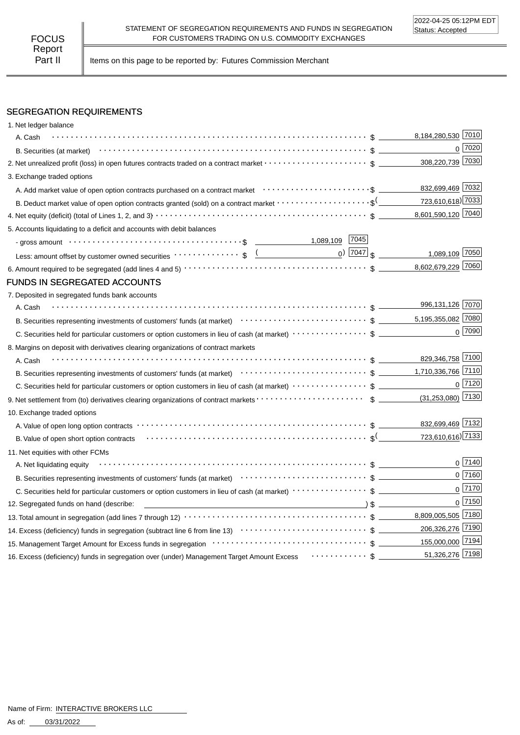Part II | Items on this page to be reported by: Futures Commission Merchant

## SEGREGATION REQUIREMENTS

| 1. Net ledger balance                                                                                                                                                                                                                                                                                                                                                                                                                                                                                                      |                                            |
|----------------------------------------------------------------------------------------------------------------------------------------------------------------------------------------------------------------------------------------------------------------------------------------------------------------------------------------------------------------------------------------------------------------------------------------------------------------------------------------------------------------------------|--------------------------------------------|
| A. Cash                                                                                                                                                                                                                                                                                                                                                                                                                                                                                                                    | 8,184,280,530 7010                         |
| B. Securities (at market) $\cdots$ $\cdots$ $\cdots$ $\cdots$ $\cdots$ $\cdots$ $\cdots$ $\cdots$ $\cdots$ $\cdots$ $\cdots$ $\cdots$ $\cdots$ $\cdots$ $\cdots$                                                                                                                                                                                                                                                                                                                                                           | $0$   $7020$                               |
|                                                                                                                                                                                                                                                                                                                                                                                                                                                                                                                            | 308,220,739 7030                           |
| 3. Exchange traded options                                                                                                                                                                                                                                                                                                                                                                                                                                                                                                 |                                            |
|                                                                                                                                                                                                                                                                                                                                                                                                                                                                                                                            | 832,699,469 7032                           |
| B. Deduct market value of open option contracts granted (sold) on a contract market $\cdots\cdots\cdots\cdots\cdots\cdots$                                                                                                                                                                                                                                                                                                                                                                                                 | 723,610,618) 7033                          |
|                                                                                                                                                                                                                                                                                                                                                                                                                                                                                                                            | 8,601,590,120 7040                         |
| 5. Accounts liquidating to a deficit and accounts with debit balances                                                                                                                                                                                                                                                                                                                                                                                                                                                      |                                            |
| - gross amount \\contract \\contract \\contract \\contract \\contract \\contract \\contract \\contract \\contract \\contract \\contract \\contract \\contract \\contract \\contract \\contract \\contract \\contract \\contrac                                                                                                                                                                                                                                                                                             |                                            |
| Less: amount offset by customer owned securities volto contract to set of the contract of the contract of the contract of the contract of the contract of the contract of the contract of the contract of the contract of the                                                                                                                                                                                                                                                                                              | $_0$ ) $\boxed{7047}$ \$<br>1,089,109 7050 |
|                                                                                                                                                                                                                                                                                                                                                                                                                                                                                                                            | 8,602,679,229 7060                         |
| FUNDS IN SEGREGATED ACCOUNTS                                                                                                                                                                                                                                                                                                                                                                                                                                                                                               |                                            |
| 7. Deposited in segregated funds bank accounts                                                                                                                                                                                                                                                                                                                                                                                                                                                                             |                                            |
| A. Cash                                                                                                                                                                                                                                                                                                                                                                                                                                                                                                                    | 996,131,126 7070                           |
| B. Securities representing investments of customers' funds (at market)<br>$\cdots$ $\cdots$ $\cdots$ $\cdots$ $\cdots$ $\cdots$ $\cdots$ $\cdots$ $\cdots$ $\cdots$ $\cdots$ $\cdots$ $\cdots$ $\cdots$                                                                                                                                                                                                                                                                                                                    | 5,195,355,082 7080                         |
|                                                                                                                                                                                                                                                                                                                                                                                                                                                                                                                            | $0$ 7090                                   |
| 8. Margins on deposit with derivatives clearing organizations of contract markets                                                                                                                                                                                                                                                                                                                                                                                                                                          |                                            |
| A. Cash                                                                                                                                                                                                                                                                                                                                                                                                                                                                                                                    | 829,346,758 7100                           |
| B. Securities representing investments of customers' funds (at market)<br>$\cdots$ $\cdots$ $\cdots$ $\cdots$ $\cdots$ $\cdots$ $\cdots$ $\cdots$ $\cdots$ $\cdots$ $\cdots$ $\cdots$ $\cdots$ $\cdots$                                                                                                                                                                                                                                                                                                                    | 1,710,336,766 7110                         |
|                                                                                                                                                                                                                                                                                                                                                                                                                                                                                                                            | $0$ 7120                                   |
|                                                                                                                                                                                                                                                                                                                                                                                                                                                                                                                            | $(31,253,080)$ 7130                        |
| 10. Exchange traded options                                                                                                                                                                                                                                                                                                                                                                                                                                                                                                |                                            |
|                                                                                                                                                                                                                                                                                                                                                                                                                                                                                                                            | 832,699,469 7132                           |
| B. Value of open short option contracts with context to contract the contracts of the context of the state of $\mathcal{S}$ <sup>(</sup>                                                                                                                                                                                                                                                                                                                                                                                   | 723,610,616) 7133                          |
| 11. Net equities with other FCMs                                                                                                                                                                                                                                                                                                                                                                                                                                                                                           |                                            |
| A. Net liquidating equity                                                                                                                                                                                                                                                                                                                                                                                                                                                                                                  | $0^{7140}$                                 |
| B. Securities representing investments of customers' funds (at market)<br>$\cdots$ $\cdots$ $\cdots$ $\cdots$ $\cdots$ $\cdots$ $\cdots$ $\cdots$ $\cdots$ $\cdots$ $\cdots$ $\cdots$ $\cdots$ $\cdots$ $\cdots$ $\cdots$ $\cdots$ $\cdots$ $\cdots$ $\cdots$                                                                                                                                                                                                                                                              | $0$ 7160                                   |
|                                                                                                                                                                                                                                                                                                                                                                                                                                                                                                                            | $0$ 7170                                   |
| $\overline{\phantom{a}}$ $\overline{\phantom{a}}$ $\overline{\phantom{a}}$ $\overline{\phantom{a}}$ $\overline{\phantom{a}}$ $\overline{\phantom{a}}$ $\overline{\phantom{a}}$ $\overline{\phantom{a}}$ $\overline{\phantom{a}}$ $\overline{\phantom{a}}$ $\overline{\phantom{a}}$ $\overline{\phantom{a}}$ $\overline{\phantom{a}}$ $\overline{\phantom{a}}$ $\overline{\phantom{a}}$ $\overline{\phantom{a}}$ $\overline{\phantom{a}}$ $\overline{\phantom{a}}$ $\overline{\$<br>12. Segregated funds on hand (describe: | $0$ 7150                                   |
|                                                                                                                                                                                                                                                                                                                                                                                                                                                                                                                            | 8,809,005,505 7180                         |
|                                                                                                                                                                                                                                                                                                                                                                                                                                                                                                                            | 206,326,276 7190                           |
| 155,000,000 7194                                                                                                                                                                                                                                                                                                                                                                                                                                                                                                           |                                            |
| 16. Excess (deficiency) funds in segregation over (under) Management Target Amount Excess  \$                                                                                                                                                                                                                                                                                                                                                                                                                              | 51,326,276 7198                            |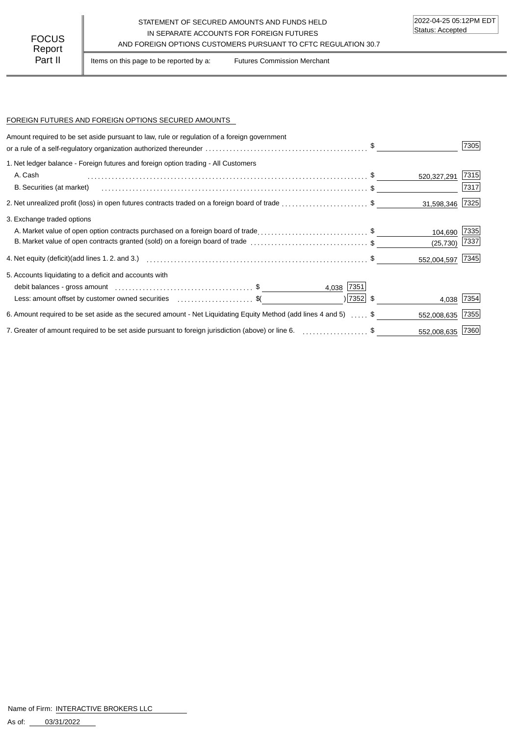### STATEMENT OF SECURED AMOUNTS AND FUNDS HELD IN SEPARATE ACCOUNTS FOR FOREIGN FUTURES FOCUS IN SEPARATE ACCOUNTS FOR FOREIGN FUTURES<br>Report

Part II | Items on this page to be reported by a: Futures Commission Merchant

#### FOREIGN FUTURES AND FOREIGN OPTIONS SECURED AMOUNTS

| Amount required to be set aside pursuant to law, rule or regulation of a foreign government                      |             |                  | 7305 |
|------------------------------------------------------------------------------------------------------------------|-------------|------------------|------|
| 1. Net ledger balance - Foreign futures and foreign option trading - All Customers                               |             |                  |      |
| A. Cash                                                                                                          |             | 520,327,291      | 7315 |
| B. Securities (at market)                                                                                        |             |                  | 7317 |
| 2. Net unrealized profit (loss) in open futures contracts traded on a foreign board of trade \$                  |             | 31,598,346 7325  |      |
| 3. Exchange traded options                                                                                       |             |                  |      |
| A. Market value of open option contracts purchased on a foreign board of trade\$                                 |             | 104,690          | 7335 |
| B. Market value of open contracts granted (sold) on a foreign board of trade \$                                  |             | (25, 730)        | 7337 |
|                                                                                                                  |             | 552,004,597 7345 |      |
| 5. Accounts liquidating to a deficit and accounts with                                                           |             |                  |      |
|                                                                                                                  | 4,038 7351  |                  |      |
| Less: amount offset by customer owned securities \$                                                              | $ 7352 $ \$ | 4,038 7354       |      |
| 6. Amount required to be set aside as the secured amount - Net Liquidating Equity Method (add lines 4 and 5)  \$ |             | 552,008,635      | 7355 |
| 7. Greater of amount required to be set aside pursuant to foreign jurisdiction (above) or line 6. \$             |             | 552,008,635 7360 |      |